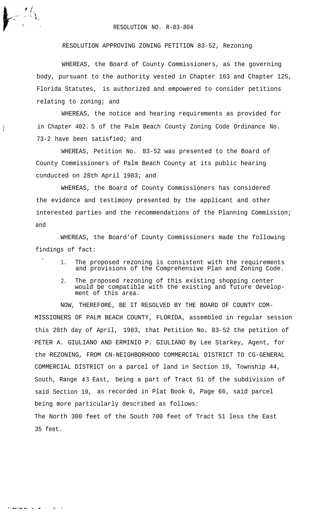## RESOLUTION NO. R-83-804

RESOLUTION APPROVING ZONING PETITION 83-52, Rezoning

WHEREAS, the Board of County Commissioners, as the governing body, pursuant to the authority vested in Chapter 163 and Chapter 125, Florida Statutes, is authorized and empowered to consider petitions relating to zoning; and

WHEREAS, the notice and hearing requirements as provided for in Chapter 402. 5 of the Palm Beach County Zoning Code Ordinance No. 73-2 have been satisfied; and

WHEREAS, Petition No. 83-52 was presented to the Board of County Commissioners of Palm Beach County at its public hearing conducted on 28th April 1983; and

WHEREAS, the Board of County Commissioners has considered the evidence and testimony presented by the applicant and other interested parties and the recommendations of the Planning Commission; and

WHEREAS, the Board'of County Commissioners made the following findings of fact:

 $\ddot{\phantom{0}}$ 

 $\frac{1}{1}$ 

. . -.\_ -. - - -- .

- The proposed rezoning is consistent with the requirements and provisions of the Comprehensive Plan and Zoning Code.
- 2. The proposed rezoning of this existing shopping center would be compatible with the existing and future development of this area.

NOW, THEREFORE, BE IT RESOLVED BY THE BOARD OF COUNTY COM-MISSIONERS OF PALM BEACH COUNTY, FLORIDA, assembled in regular session this 28th day of April, 1983, that Petition No. 83-52 the petition of PETER A. GIULIANO AND ERMINIO P. GIULIANO By Lee Starkey, Agent, for the REZONING, FROM CN-NEIGHBORHOOD COMMERCIAL DISTRICT TO CG-GENERAL COMMERCIAL DISTRICT on a parcel of land in Section 19, Township 44, South, Range 43 East, being a part of Tract 51 of the subdivision of said Section 19, as recorded in Plat Book 6, Page 66, said parcel being more particularly described as follows: The North 300 feet of the South 700 feet of Tract 51 less the East 35 feet.